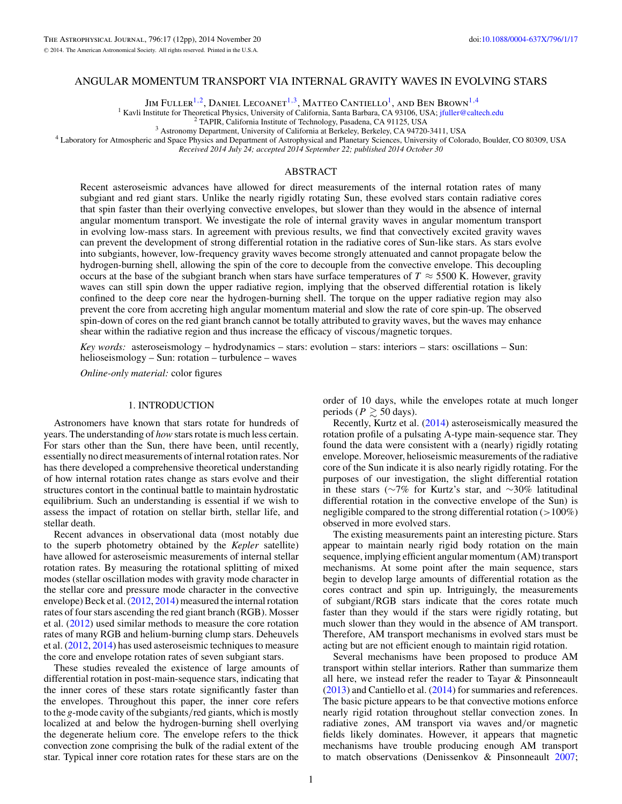# ANGULAR MOMENTUM TRANSPORT VIA INTERNAL GRAVITY WAVES IN EVOLVING STARS

JIM FULLER<sup>1,2</sup>, DANIEL LECOANET<sup>1,3</sup>, MATTEO CANTIELLO<sup>1</sup>, AND BEN BROWN<sup>1,4</sup><br><sup>1</sup> Kavli Institute for Theoretical Physics, University of California, Santa Barbara, CA 93106, USA; jfuller@caltech.edu

<sup>2</sup> TAPIR, California Institute of Technology, Pasadena, CA 91125, USA<br><sup>3</sup> Astronomy Department, University of California at Berkeley, Berkeley, CA 94720-3411, USA<br><sup>4</sup> Laboratory for Atmospheric and Space Physics and Depar *Received 2014 July 24; accepted 2014 September 22; published 2014 October 30*

### ABSTRACT

Recent asteroseismic advances have allowed for direct measurements of the internal rotation rates of many subgiant and red giant stars. Unlike the nearly rigidly rotating Sun, these evolved stars contain radiative cores that spin faster than their overlying convective envelopes, but slower than they would in the absence of internal angular momentum transport. We investigate the role of internal gravity waves in angular momentum transport in evolving low-mass stars. In agreement with previous results, we find that convectively excited gravity waves can prevent the development of strong differential rotation in the radiative cores of Sun-like stars. As stars evolve into subgiants, however, low-frequency gravity waves become strongly attenuated and cannot propagate below the hydrogen-burning shell, allowing the spin of the core to decouple from the convective envelope. This decoupling occurs at the base of the subgiant branch when stars have surface temperatures of  $T \approx 5500$  K. However, gravity waves can still spin down the upper radiative region, implying that the observed differential rotation is likely confined to the deep core near the hydrogen-burning shell. The torque on the upper radiative region may also prevent the core from accreting high angular momentum material and slow the rate of core spin-up. The observed spin-down of cores on the red giant branch cannot be totally attributed to gravity waves, but the waves may enhance shear within the radiative region and thus increase the efficacy of viscous*/*magnetic torques.

*Key words:* asteroseismology – hydrodynamics – stars: evolution – stars: interiors – stars: oscillations – Sun: helioseismology – Sun: rotation – turbulence – waves

*Online-only material:* color figures

### 1. INTRODUCTION

Astronomers have known that stars rotate for hundreds of years. The understanding of *how*stars rotate is much less certain. For stars other than the Sun, there have been, until recently, essentially no direct measurements of internal rotation rates. Nor has there developed a comprehensive theoretical understanding of how internal rotation rates change as stars evolve and their structures contort in the continual battle to maintain hydrostatic equilibrium. Such an understanding is essential if we wish to assess the impact of rotation on stellar birth, stellar life, and stellar death.

Recent advances in observational data (most notably due to the superb photometry obtained by the *Kepler* satellite) have allowed for asteroseismic measurements of internal stellar rotation rates. By measuring the rotational splitting of mixed modes (stellar oscillation modes with gravity mode character in the stellar core and pressure mode character in the convective envelope) Beck et al. [\(2012,](#page-10-0) [2014\)](#page-10-0) measured the internal rotation rates of four stars ascending the red giant branch (RGB). Mosser et al. [\(2012\)](#page-11-0) used similar methods to measure the core rotation rates of many RGB and helium-burning clump stars. Deheuvels et al. [\(2012,](#page-10-0) [2014\)](#page-10-0) has used asteroseismic techniques to measure the core and envelope rotation rates of seven subgiant stars.

These studies revealed the existence of large amounts of differential rotation in post-main-sequence stars, indicating that the inner cores of these stars rotate significantly faster than the envelopes. Throughout this paper, the inner core refers to the *g*-mode cavity of the subgiants*/*red giants, which is mostly localized at and below the hydrogen-burning shell overlying the degenerate helium core. The envelope refers to the thick convection zone comprising the bulk of the radial extent of the star. Typical inner core rotation rates for these stars are on the

order of 10 days, while the envelopes rotate at much longer periods ( $P \gtrsim 50$  days).

Recently, Kurtz et al. [\(2014\)](#page-11-0) asteroseismically measured the rotation profile of a pulsating A-type main-sequence star. They found the data were consistent with a (nearly) rigidly rotating envelope. Moreover, helioseismic measurements of the radiative core of the Sun indicate it is also nearly rigidly rotating. For the purposes of our investigation, the slight differential rotation in these stars (∼7% for Kurtz's star, and ∼30% latitudinal differential rotation in the convective envelope of the Sun) is negligible compared to the strong differential rotation (*>*100%) observed in more evolved stars.

The existing measurements paint an interesting picture. Stars appear to maintain nearly rigid body rotation on the main sequence, implying efficient angular momentum (AM) transport mechanisms. At some point after the main sequence, stars begin to develop large amounts of differential rotation as the cores contract and spin up. Intriguingly, the measurements of subgiant*/*RGB stars indicate that the cores rotate much faster than they would if the stars were rigidly rotating, but much slower than they would in the absence of AM transport. Therefore, AM transport mechanisms in evolved stars must be acting but are not efficient enough to maintain rigid rotation.

Several mechanisms have been proposed to produce AM transport within stellar interiors. Rather than summarize them all here, we instead refer the reader to Tayar & Pinsonneault  $(2013)$  and Cantiello et al.  $(2014)$  for summaries and references. The basic picture appears to be that convective motions enforce nearly rigid rotation throughout stellar convection zones. In radiative zones, AM transport via waves and*/*or magnetic fields likely dominates. However, it appears that magnetic mechanisms have trouble producing enough AM transport to match observations (Denissenkov & Pinsonneault [2007;](#page-10-0)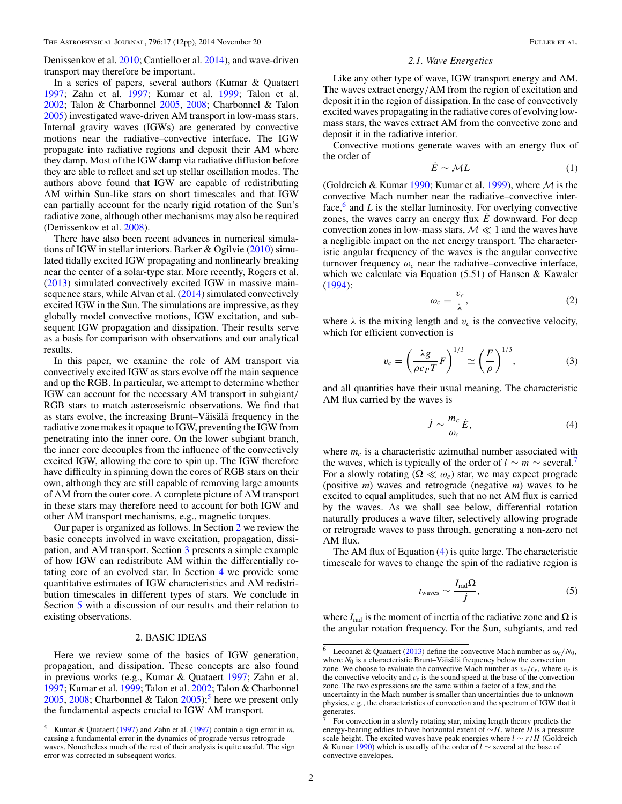<span id="page-1-0"></span>Denissenkov et al. [2010;](#page-10-0) Cantiello et al. [2014\)](#page-10-0), and wave-driven transport may therefore be important.

In a series of papers, several authors (Kumar & Quataert [1997;](#page-10-0) Zahn et al. [1997;](#page-11-0) Kumar et al. [1999;](#page-11-0) Talon et al. [2002;](#page-11-0) Talon & Charbonnel [2005,](#page-11-0) [2008;](#page-11-0) Charbonnel & Talon [2005\)](#page-10-0) investigated wave-driven AM transport in low-mass stars. Internal gravity waves (IGWs) are generated by convective motions near the radiative–convective interface. The IGW propagate into radiative regions and deposit their AM where they damp. Most of the IGW damp via radiative diffusion before they are able to reflect and set up stellar oscillation modes. The authors above found that IGW are capable of redistributing AM within Sun-like stars on short timescales and that IGW can partially account for the nearly rigid rotation of the Sun's radiative zone, although other mechanisms may also be required (Denissenkov et al. [2008\)](#page-10-0).

There have also been recent advances in numerical simulations of IGW in stellar interiors. Barker & Ogilvie [\(2010\)](#page-10-0) simulated tidally excited IGW propagating and nonlinearly breaking near the center of a solar-type star. More recently, Rogers et al. [\(2013\)](#page-11-0) simulated convectively excited IGW in massive main-sequence stars, while Alvan et al. [\(2014\)](#page-10-0) simulated convectively excited IGW in the Sun. The simulations are impressive, as they globally model convective motions, IGW excitation, and subsequent IGW propagation and dissipation. Their results serve as a basis for comparison with observations and our analytical results.

In this paper, we examine the role of AM transport via convectively excited IGW as stars evolve off the main sequence and up the RGB. In particular, we attempt to determine whether IGW can account for the necessary AM transport in subgiant*/* RGB stars to match asteroseismic observations. We find that as stars evolve, the increasing Brunt–Väisälä frequency in the radiative zone makes it opaque to IGW, preventing the IGW from penetrating into the inner core. On the lower subgiant branch, the inner core decouples from the influence of the convectively excited IGW, allowing the core to spin up. The IGW therefore have difficulty in spinning down the cores of RGB stars on their own, although they are still capable of removing large amounts of AM from the outer core. A complete picture of AM transport in these stars may therefore need to account for both IGW and other AM transport mechanisms, e.g., magnetic torques.

Our paper is organized as follows. In Section 2 we review the basic concepts involved in wave excitation, propagation, dissipation, and AM transport. Section [3](#page-4-0) presents a simple example of how IGW can redistribute AM within the differentially rotating core of an evolved star. In Section [4](#page-4-0) we provide some quantitative estimates of IGW characteristics and AM redistribution timescales in different types of stars. We conclude in Section [5](#page-8-0) with a discussion of our results and their relation to existing observations.

### 2. BASIC IDEAS

Here we review some of the basics of IGW generation, propagation, and dissipation. These concepts are also found in previous works (e.g., Kumar & Quataert [1997;](#page-10-0) Zahn et al. [1997;](#page-11-0) Kumar et al. [1999;](#page-11-0) Talon et al. [2002;](#page-11-0) Talon & Charbonnel [2005,](#page-11-0) [2008;](#page-11-0) Charbonnel & Talon  $2005$ ; here we present only the fundamental aspects crucial to IGW AM transport.

#### *2.1. Wave Energetics*

Like any other type of wave, IGW transport energy and AM. The waves extract energy*/*AM from the region of excitation and deposit it in the region of dissipation. In the case of convectively excited waves propagating in the radiative cores of evolving lowmass stars, the waves extract AM from the convective zone and deposit it in the radiative interior.

Convective motions generate waves with an energy flux of the order of

$$
E \sim \mathcal{M}L \tag{1}
$$

(Goldreich & Kumar [1990;](#page-10-0) Kumar et al. [1999\)](#page-11-0), where  $M$  is the convective Mach number near the radiative–convective interface,<sup>6</sup> and *L* is the stellar luminosity. For overlying convective zones, the waves carry an energy flux  $\vec{E}$  downward. For deep convection zones in low-mass stars,  $\mathcal{M} \ll 1$  and the waves have a negligible impact on the net energy transport. The characteristic angular frequency of the waves is the angular convective turnover frequency  $\omega_c$  near the radiative–convective interface, which we calculate via Equation (5.51) of Hansen & Kawaler [\(1994\)](#page-10-0):

$$
\omega_c = \frac{v_c}{\lambda},\tag{2}
$$

where  $\lambda$  is the mixing length and  $v_c$  is the convective velocity, which for efficient convection is

$$
v_c = \left(\frac{\lambda g}{\rho c_P T} F\right)^{1/3} \simeq \left(\frac{F}{\rho}\right)^{1/3},\tag{3}
$$

and all quantities have their usual meaning. The characteristic AM flux carried by the waves is

$$
\dot{J} \sim \frac{m_c}{\omega_c} \dot{E},\tag{4}
$$

where  $m_c$  is a characteristic azimuthal number associated with the waves, which is typically of the order of  $l \sim m \sim$  several.<sup>7</sup> For a slowly rotating  $(\Omega \ll \omega_c)$  star, we may expect prograde (positive *m*) waves and retrograde (negative *m*) waves to be excited to equal amplitudes, such that no net AM flux is carried by the waves. As we shall see below, differential rotation naturally produces a wave filter, selectively allowing prograde or retrograde waves to pass through, generating a non-zero net AM flux.

The AM flux of Equation (4) is quite large. The characteristic timescale for waves to change the spin of the radiative region is

$$
t_{\text{waves}} \sim \frac{I_{\text{rad}}\Omega}{j},\tag{5}
$$

where  $I_{rad}$  is the moment of inertia of the radiative zone and  $\Omega$  is the angular rotation frequency. For the Sun, subgiants, and red

convective envelopes.

<sup>&</sup>lt;sup>5</sup> Kumar & Quataert [\(1997\)](#page-11-0) and Zahn et al. (1997) contain a sign error in  $m$ , causing a fundamental error in the dynamics of prograde versus retrograde waves. Nonetheless much of the rest of their analysis is quite useful. The sign error was corrected in subsequent works.

<sup>&</sup>lt;sup>6</sup> Lecoanet & Quataert [\(2013\)](#page-11-0) define the convective Mach number as  $\omega_c/N_0$ , where  $N_0$  is a characteristic Brunt–Väisälä frequency below the convection zone. We choose to evaluate the convective Mach number as  $v_c/c_s$ , where  $v_c$  is the convective velocity and  $c_s$  is the sound speed at the base of the convection zone. The two expressions are the same within a factor of a few, and the uncertainty in the Mach number is smaller than uncertainties due to unknown physics, e.g., the characteristics of convection and the spectrum of IGW that it

generates. <sup>7</sup> For convection in a slowly rotating star, mixing length theory predicts the energy-bearing eddies to have horizontal extent of ∼*H*, where *H* is a pressure scale height. The excited waves have peak energies where *l* ∼ *r/H* (Goldreich & Kumar [1990\)](#page-10-0) which is usually of the order of *l* ∼ several at the base of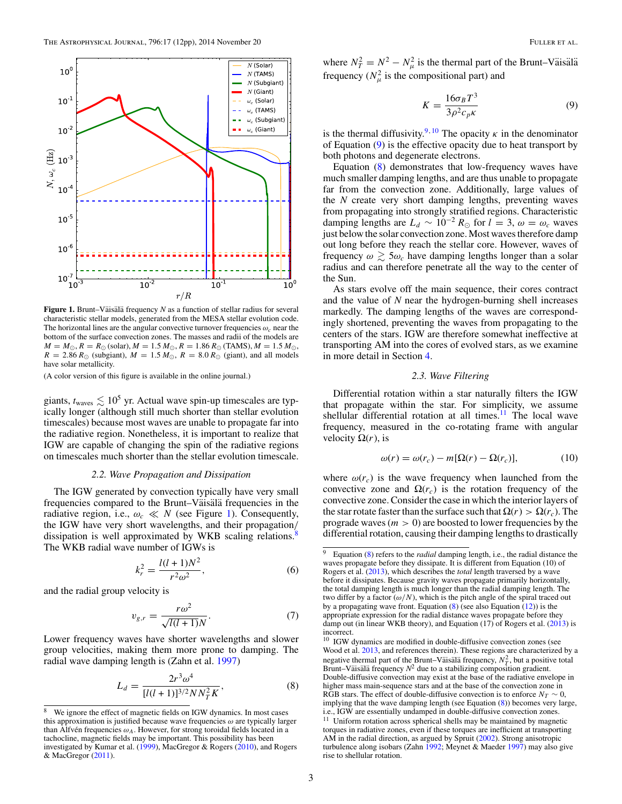<span id="page-2-0"></span>

**Figure 1.** Brunt–Väisälä frequency N as a function of stellar radius for several characteristic stellar models, generated from the MESA stellar evolution code. The horizontal lines are the angular convective turnover frequencies  $\omega_c$  near the bottom of the surface convection zones. The masses and radii of the models are  $M = M_{\odot}$ ,  $R = R_{\odot}$  (solar),  $M = 1.5 M_{\odot}$ ,  $R = 1.86 R_{\odot}$  (TAMS),  $M = 1.5 M_{\odot}$ ,  $R = 2.86 R_{\odot}$  (subgiant),  $M = 1.5 M_{\odot}$ ,  $R = 8.0 R_{\odot}$  (giant), and all models have solar metallicity.

giants,  $t_{\text{waves}} \lesssim 10^5$  yr. Actual wave spin-up timescales are typically longer (although still much shorter than stellar evolution timescales) because most waves are unable to propagate far into the radiative region. Nonetheless, it is important to realize that IGW are capable of changing the spin of the radiative regions on timescales much shorter than the stellar evolution timescale.

## *2.2. Wave Propagation and Dissipation*

The IGW generated by convection typically have very small frequencies compared to the Brunt–Väisälä frequencies in the radiative region, i.e.,  $\omega_c \ll N$  (see Figure 1). Consequently, the IGW have very short wavelengths, and their propagation*/* dissipation is well approximated by WKB scaling relations.<sup>8</sup> The WKB radial wave number of IGWs is

$$
k_r^2 = \frac{l(l+1)N^2}{r^2 \omega^2},
$$
\n(6)

and the radial group velocity is

$$
v_{g,r} = \frac{r\omega^2}{\sqrt{l(l+1)}N}.
$$
\n(7)

Lower frequency waves have shorter wavelengths and slower group velocities, making them more prone to damping. The radial wave damping length is (Zahn et al. [1997\)](#page-11-0)

$$
L_d = \frac{2r^3\omega^4}{[l(l+1)]^{3/2}NN_T^2K},\tag{8}
$$

where  $N_T^2 = N^2 - N_\mu^2$  is the thermal part of the Brunt–Väisälä frequency  $(N_{\mu}^2)$  is the compositional part) and

$$
K = \frac{16\sigma_B T^3}{3\rho^2 c_p \kappa} \tag{9}
$$

is the thermal diffusivity.<sup>9, 10</sup> The opacity  $\kappa$  in the denominator of Equation (9) is the effective opacity due to heat transport by both photons and degenerate electrons.

Equation (8) demonstrates that low-frequency waves have much smaller damping lengths, and are thus unable to propagate far from the convection zone. Additionally, large values of the *N* create very short damping lengths, preventing waves from propagating into strongly stratified regions. Characteristic damping lengths are  $L_d \sim 10^{-2} R_{\odot}$  for  $l = 3$ ,  $\omega = \omega_c$  waves just below the solar convection zone. Most waves therefore damp out long before they reach the stellar core. However, waves of frequency  $\omega \gtrsim 5\omega_c$  have damping lengths longer than a solar radius and can therefore penetrate all the way to the center of the Sun.

As stars evolve off the main sequence, their cores contract and the value of *N* near the hydrogen-burning shell increases markedly. The damping lengths of the waves are correspondingly shortened, preventing the waves from propagating to the centers of the stars. IGW are therefore somewhat ineffective at transporting AM into the cores of evolved stars, as we examine in more detail in Section [4.](#page-4-0)

### *2.3. Wave Filtering*

Differential rotation within a star naturally filters the IGW that propagate within the star. For simplicity, we assume shellular differential rotation at all times. $11$  The local wave frequency, measured in the co-rotating frame with angular velocity  $\Omega(r)$ , is

$$
\omega(r) = \omega(r_c) - m[\Omega(r) - \Omega(r_c)],\tag{10}
$$

where  $\omega(r_c)$  is the wave frequency when launched from the convective zone and  $\Omega(r_c)$  is the rotation frequency of the convective zone. Consider the case in which the interior layers of the star rotate faster than the surface such that  $\Omega(r) > \Omega(r_c)$ . The prograde waves  $(m > 0)$  are boosted to lower frequencies by the differential rotation, causing their damping lengths to drastically

We ignore the effect of magnetic fields on IGW dynamics. In most cases this approximation is justified because wave frequencies *ω* are typically larger than Alfvén frequencies  $\omega_A$ . However, for strong toroidal fields located in a tachocline, magnetic fields may be important. This possibility has been investigated by Kumar et al. [\(1999\)](#page-11-0), MacGregor & Rogers [\(2010\)](#page-11-0), and Rogers & MacGregor [\(2011\)](#page-11-0).

 $\overline{9}$  Equation (8) refers to the *radial* damping length, i.e., the radial distance the waves propagate before they dissipate. It is different from Equation (10) of Rogers et al. [\(2013\)](#page-11-0), which describes the *total* length traversed by a wave before it dissipates. Because gravity waves propagate primarily horizontally, the total damping length is much longer than the radial damping length. The two differ by a factor  $(\omega/N)$ , which is the pitch angle of the spiral traced out by a propagating wave front. Equation  $(8)$  (see also Equation  $(12)$ ) is the appropriate expression for the radial distance waves propagate before they damp out (in linear WKB theory), and Equation (17) of Rogers et al. [\(2013\)](#page-11-0) is incorrect.

<sup>&</sup>lt;sup>10</sup> IGW dynamics are modified in double-diffusive convection zones (see Wood et al. [2013,](#page-11-0) and references therein). These regions are characterized by a negative thermal part of the Brunt–Väisälä frequency,  $N_T^2$ , but a positive total Brunt–Väisälä frequency  $N^2$  due to a stabilizing composition gradient. Double-diffusive convection may exist at the base of the radiative envelope in higher mass main-sequence stars and at the base of the convection zone in RGB stars. The effect of double-diffusive convection is to enforce  $N_T \sim 0$ , implying that the wave damping length (see Equation (8)) becomes very large, i.e., IGW are essentially undamped in double-diffusive convection zones.  $11$  Uniform rotation across spherical shells may be maintained by magnetic

torques in radiative zones, even if these torques are inefficient at transporting AM in the radial direction, as argued by Spruit [\(2002\)](#page-11-0). Strong anisotropic turbulence along isobars (Zahn [1992;](#page-11-0) Meynet & Maeder [1997\)](#page-11-0) may also give rise to shellular rotation.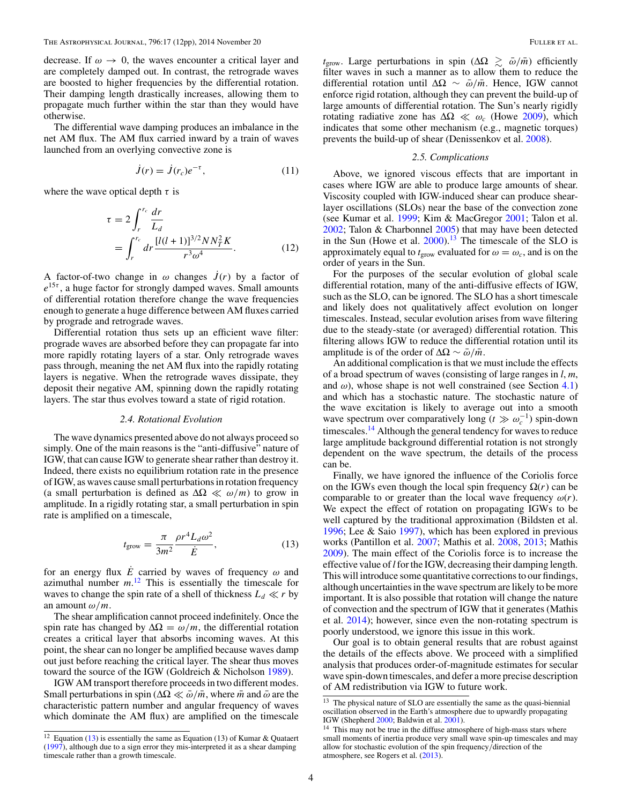<span id="page-3-0"></span>decrease. If  $\omega \to 0$ , the waves encounter a critical layer and are completely damped out. In contrast, the retrograde waves are boosted to higher frequencies by the differential rotation. Their damping length drastically increases, allowing them to propagate much further within the star than they would have otherwise.

The differential wave damping produces an imbalance in the net AM flux. The AM flux carried inward by a train of waves launched from an overlying convective zone is

$$
\dot{J}(r) = \dot{J}(r_c)e^{-\tau},\tag{11}
$$

where the wave optical depth  $\tau$  is

$$
\tau = 2 \int_{r}^{r_c} \frac{dr}{L_d}
$$
  
= 
$$
\int_{r}^{r_c} dr \frac{[l(l+1)]^{3/2} N N_T^2 K}{r^3 \omega^4}.
$$
 (12)

A factor-of-two change in  $\omega$  changes  $\dot{J}(r)$  by a factor of *e*<sup>15</sup>*<sup>τ</sup>* , a huge factor for strongly damped waves. Small amounts of differential rotation therefore change the wave frequencies enough to generate a huge difference between AM fluxes carried by prograde and retrograde waves.

Differential rotation thus sets up an efficient wave filter: prograde waves are absorbed before they can propagate far into more rapidly rotating layers of a star. Only retrograde waves pass through, meaning the net AM flux into the rapidly rotating layers is negative. When the retrograde waves dissipate, they deposit their negative AM, spinning down the rapidly rotating layers. The star thus evolves toward a state of rigid rotation.

### *2.4. Rotational Evolution*

The wave dynamics presented above do not always proceed so simply. One of the main reasons is the "anti-diffusive" nature of IGW, that can cause IGW to generate shear rather than destroy it. Indeed, there exists no equilibrium rotation rate in the presence of IGW, as waves cause small perturbations in rotation frequency (a small perturbation is defined as  $\Delta\Omega \ll \omega/m$ ) to grow in amplitude. In a rigidly rotating star, a small perturbation in spin rate is amplified on a timescale,

$$
t_{\text{grow}} = \frac{\pi}{3m^2} \frac{\rho r^4 L_d \omega^2}{\dot{E}},\tag{13}
$$

for an energy flux *E*˙ carried by waves of frequency *ω* and azimuthal number *m*. <sup>12</sup> This is essentially the timescale for waves to change the spin rate of a shell of thickness  $L_d \ll r$  by an amount *ω/m*.

The shear amplification cannot proceed indefinitely. Once the spin rate has changed by  $\Delta\Omega = \omega/m$ , the differential rotation creates a critical layer that absorbs incoming waves. At this point, the shear can no longer be amplified because waves damp out just before reaching the critical layer. The shear thus moves toward the source of the IGW (Goldreich & Nicholson [1989\)](#page-10-0).

IGW AM transport therefore proceeds in two different modes. Small perturbations in spin ( $\Delta \Omega \ll \bar{\omega}/\bar{m}$ , where  $\bar{m}$  and  $\bar{\omega}$  are the characteristic pattern number and angular frequency of waves which dominate the AM flux) are amplified on the timescale

 $t_{\text{grow}}$ . Large perturbations in spin ( $\Delta\Omega \gtrsim \bar{\omega}/\bar{m}$ ) efficiently filter waves in such a manner as to allow them to reduce the differential rotation until ΔΩ  $∼$   $\bar{ω}/\bar{m}$ . Hence, IGW cannot enforce rigid rotation, although they can prevent the build-up of large amounts of differential rotation. The Sun's nearly rigidly rotating radiative zone has  $\Delta\Omega \ll \omega_c$  (Howe [2009\)](#page-10-0), which indicates that some other mechanism (e.g., magnetic torques) prevents the build-up of shear (Denissenkov et al. [2008\)](#page-10-0).

### *2.5. Complications*

Above, we ignored viscous effects that are important in cases where IGW are able to produce large amounts of shear. Viscosity coupled with IGW-induced shear can produce shearlayer oscillations (SLOs) near the base of the convection zone (see Kumar et al. [1999;](#page-11-0) Kim & MacGregor [2001;](#page-10-0) Talon et al. [2002;](#page-11-0) Talon & Charbonnel [2005\)](#page-11-0) that may have been detected in the Sun (Howe et al.  $2000$ ).<sup>13</sup> The timescale of the SLO is approximately equal to  $t_{\text{grow}}$  evaluated for  $\omega = \omega_c$ , and is on the order of years in the Sun.

For the purposes of the secular evolution of global scale differential rotation, many of the anti-diffusive effects of IGW, such as the SLO, can be ignored. The SLO has a short timescale and likely does not qualitatively affect evolution on longer timescales. Instead, secular evolution arises from wave filtering due to the steady-state (or averaged) differential rotation. This filtering allows IGW to reduce the differential rotation until its amplitude is of the order of  $\Delta\Omega \sim \bar{\omega}/\bar{m}$ .

An additional complication is that we must include the effects of a broad spectrum of waves (consisting of large ranges in *l*, *m*, and  $\omega$ ), whose shape is not well constrained (see Section [4.1\)](#page-5-0) and which has a stochastic nature. The stochastic nature of the wave excitation is likely to average out into a smooth wave spectrum over comparatively long  $(t \gg \omega_c^{-1})$  spin-down timescales.<sup>14</sup> Although the general tendency for waves to reduce large amplitude background differential rotation is not strongly dependent on the wave spectrum, the details of the process can be.

Finally, we have ignored the influence of the Coriolis force on the IGWs even though the local spin frequency  $\Omega(r)$  can be comparable to or greater than the local wave frequency  $\omega(r)$ . We expect the effect of rotation on propagating IGWs to be well captured by the traditional approximation (Bildsten et al. [1996;](#page-10-0) Lee & Saio [1997\)](#page-11-0), which has been explored in previous works (Pantillon et al. [2007;](#page-11-0) Mathis et al. [2008,](#page-11-0) [2013;](#page-11-0) Mathis [2009\)](#page-11-0). The main effect of the Coriolis force is to increase the effective value of*l*for the IGW, decreasing their damping length. This will introduce some quantitative corrections to our findings, although uncertainties in the wave spectrum are likely to be more important. It is also possible that rotation will change the nature of convection and the spectrum of IGW that it generates (Mathis et al. [2014\)](#page-11-0); however, since even the non-rotating spectrum is poorly understood, we ignore this issue in this work.

Our goal is to obtain general results that are robust against the details of the effects above. We proceed with a simplified analysis that produces order-of-magnitude estimates for secular wave spin-down timescales, and defer a more precise description of AM redistribution via IGW to future work.

<sup>&</sup>lt;sup>12</sup> Equation (13) is essentially the same as Equation (13) of Kumar & Quataert [\(1997\)](#page-10-0), although due to a sign error they mis-interpreted it as a shear damping timescale rather than a growth timescale.

 $13$  The physical nature of SLO are essentially the same as the quasi-biennial oscillation observed in the Earth's atmosphere due to upwardly propagating IGW (Shepherd [2000;](#page-11-0) Baldwin et al. [2001\)](#page-10-0).

 $14$  This may not be true in the diffuse atmosphere of high-mass stars where small moments of inertia produce very small wave spin-up timescales and may allow for stochastic evolution of the spin frequency*/*direction of the atmosphere, see Rogers et al. [\(2013\)](#page-11-0).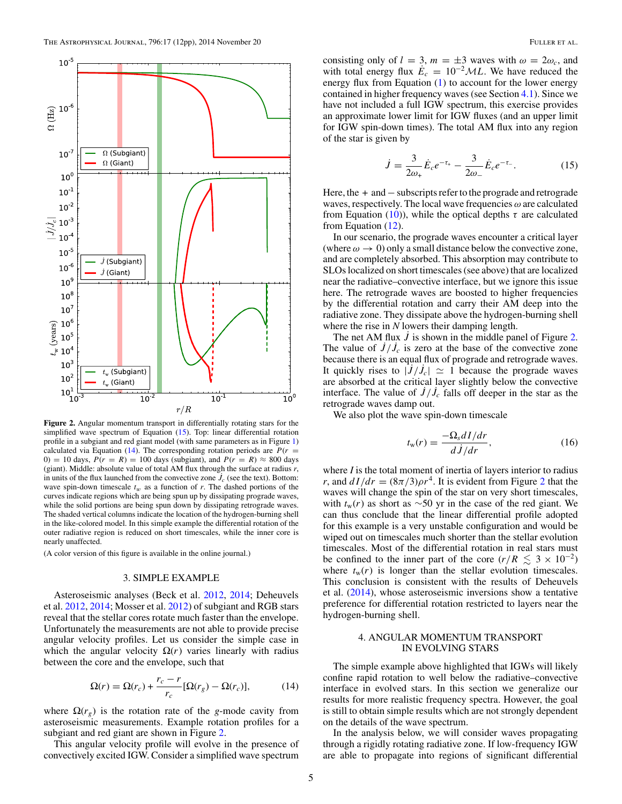<span id="page-4-0"></span>

**Figure 2.** Angular momentum transport in differentially rotating stars for the simplified wave spectrum of Equation (15). Top: linear differential rotation profile in a subgiant and red giant model (with same parameters as in Figure [1\)](#page-2-0) calculated via Equation (14). The corresponding rotation periods are  $P(r =$ 0) = 10 days,  $P(r = R) = 100$  days (subgiant), and  $P(r = R) \approx 800$  days (giant). Middle: absolute value of total AM flux through the surface at radius *r*, in units of the flux launched from the convective zone  $J_c$  (see the text). Bottom: wave spin-down timescale  $t_w$  as a function of  $r$ . The dashed portions of the curves indicate regions which are being spun up by dissipating prograde waves, while the solid portions are being spun down by dissipating retrograde waves. The shaded vertical columns indicate the location of the hydrogen-burning shell in the like-colored model. In this simple example the differential rotation of the outer radiative region is reduced on short timescales, while the inner core is nearly unaffected.

### 3. SIMPLE EXAMPLE

Asteroseismic analyses (Beck et al. [2012,](#page-10-0) [2014;](#page-10-0) Deheuvels et al. [2012,](#page-10-0) [2014;](#page-10-0) Mosser et al. [2012\)](#page-11-0) of subgiant and RGB stars reveal that the stellar cores rotate much faster than the envelope. Unfortunately the measurements are not able to provide precise angular velocity profiles. Let us consider the simple case in which the angular velocity  $\Omega(r)$  varies linearly with radius between the core and the envelope, such that

$$
\Omega(r) = \Omega(r_c) + \frac{r_c - r}{r_c} [\Omega(r_g) - \Omega(r_c)],\tag{14}
$$

where  $\Omega(r_g)$  is the rotation rate of the *g*-mode cavity from asteroseismic measurements. Example rotation profiles for a subgiant and red giant are shown in Figure 2.

This angular velocity profile will evolve in the presence of convectively excited IGW. Consider a simplified wave spectrum

consisting only of  $l = 3$ ,  $m = \pm 3$  waves with  $\omega = 2\omega_c$ , and with total energy flux  $E_c = 10^{-2}ML$ . We have reduced the energy flux from Equation  $(1)$  to account for the lower energy contained in higher frequency waves (see Section [4.1\)](#page-5-0). Since we have not included a full IGW spectrum, this exercise provides an approximate lower limit for IGW fluxes (and an upper limit for IGW spin-down times). The total AM flux into any region of the star is given by

$$
\dot{J} = \frac{3}{2\omega_{+}} \dot{E}_{c} e^{-\tau_{+}} - \frac{3}{2\omega_{-}} \dot{E}_{c} e^{-\tau_{-}}.
$$
 (15)

Here, the + and−subscripts refer to the prograde and retrograde waves, respectively. The local wave frequencies *ω* are calculated from Equation [\(10\)](#page-2-0)), while the optical depths  $\tau$  are calculated from Equation [\(12\)](#page-3-0).

In our scenario, the prograde waves encounter a critical layer (where  $\omega \to 0$ ) only a small distance below the convective zone, and are completely absorbed. This absorption may contribute to SLOs localized on short timescales (see above) that are localized near the radiative–convective interface, but we ignore this issue here. The retrograde waves are boosted to higher frequencies by the differential rotation and carry their AM deep into the radiative zone. They dissipate above the hydrogen-burning shell where the rise in *N* lowers their damping length.

The net AM flux *J* is shown in the middle panel of Figure 2. The value of  $J/J_c$  is zero at the base of the convective zone because there is an equal flux of prograde and retrograde waves. It quickly rises to  $|J/J_c| \simeq 1$  because the prograde waves are absorbed at the critical layer slightly below the convective interface. The value of  $J/J_c$  falls off deeper in the star as the retrograde waves damp out.

We also plot the wave spin-down timescale

$$
t_{\rm w}(r) = \frac{-\Omega_s dI/dr}{d\dot{J}/dr},\qquad(16)
$$

where *I* is the total moment of inertia of layers interior to radius *r*, and  $dI/dr = (8\pi/3)\rho r^4$ . It is evident from Figure 2 that the waves will change the spin of the star on very short timescales, with  $t_w(r)$  as short as  $\sim$ 50 yr in the case of the red giant. We can thus conclude that the linear differential profile adopted for this example is a very unstable configuration and would be wiped out on timescales much shorter than the stellar evolution timescales. Most of the differential rotation in real stars must be confined to the inner part of the core  $(r/R \leq 3 \times 10^{-2})$ where  $t_w(r)$  is longer than the stellar evolution timescales. This conclusion is consistent with the results of Deheuvels et al. [\(2014\)](#page-10-0), whose asteroseismic inversions show a tentative preference for differential rotation restricted to layers near the hydrogen-burning shell.

# 4. ANGULAR MOMENTUM TRANSPORT IN EVOLVING STARS

The simple example above highlighted that IGWs will likely confine rapid rotation to well below the radiative–convective interface in evolved stars. In this section we generalize our results for more realistic frequency spectra. However, the goal is still to obtain simple results which are not strongly dependent on the details of the wave spectrum.

In the analysis below, we will consider waves propagating through a rigidly rotating radiative zone. If low-frequency IGW are able to propagate into regions of significant differential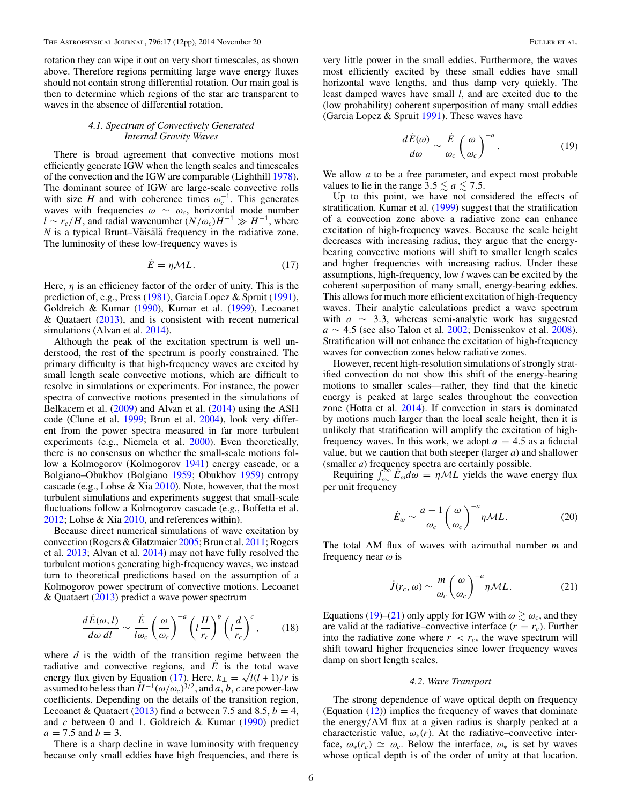<span id="page-5-0"></span>rotation they can wipe it out on very short timescales, as shown above. Therefore regions permitting large wave energy fluxes should not contain strong differential rotation. Our main goal is then to determine which regions of the star are transparent to waves in the absence of differential rotation.

### *4.1. Spectrum of Convectively Generated Internal Gravity Waves*

There is broad agreement that convective motions most efficiently generate IGW when the length scales and timescales of the convection and the IGW are comparable (Lighthill [1978\)](#page-11-0). The dominant source of IGW are large-scale convective rolls with size *H* and with coherence times  $\omega_c^{-1}$ . This generates waves with frequencies *ω* ∼ *ωc*, horizontal mode number *l* ∼ *r<sub>c</sub>*/*H*, and radial wavenumber  $(N/\omega_c)H^{-1} \gg H^{-1}$ , where  *is a typical Brunt–Väisälä frequency in the radiative zone.* The luminosity of these low-frequency waves is

$$
\dot{E} = \eta \mathcal{M}L. \tag{17}
$$

Here, *η* is an efficiency factor of the order of unity. This is the prediction of, e.g., Press [\(1981\)](#page-11-0), Garcia Lopez & Spruit [\(1991\)](#page-10-0), Goldreich & Kumar [\(1990\)](#page-10-0), Kumar et al. [\(1999\)](#page-11-0), Lecoanet & Quataert  $(2013)$ , and is consistent with recent numerical simulations (Alvan et al. [2014\)](#page-10-0).

Although the peak of the excitation spectrum is well understood, the rest of the spectrum is poorly constrained. The primary difficulty is that high-frequency waves are excited by small length scale convective motions, which are difficult to resolve in simulations or experiments. For instance, the power spectra of convective motions presented in the simulations of Belkacem et al. [\(2009\)](#page-10-0) and Alvan et al. [\(2014\)](#page-10-0) using the ASH code (Clune et al. [1999;](#page-10-0) Brun et al. [2004\)](#page-10-0), look very different from the power spectra measured in far more turbulent experiments (e.g., Niemela et al. [2000\)](#page-11-0). Even theoretically, there is no consensus on whether the small-scale motions follow a Kolmogorov (Kolmogorov [1941\)](#page-10-0) energy cascade, or a Bolgiano–Obukhov (Bolgiano [1959;](#page-10-0) Obukhov [1959\)](#page-11-0) entropy cascade (e.g., Lohse  $& Xia 2010$ ). Note, however, that the most turbulent simulations and experiments suggest that small-scale fluctuations follow a Kolmogorov cascade (e.g., Boffetta et al. [2012;](#page-10-0) Lohse & Xia [2010,](#page-11-0) and references within).

Because direct numerical simulations of wave excitation by convection (Rogers & Glatzmaier [2005;](#page-11-0) Brun et al. [2011;](#page-10-0) Rogers et al. [2013;](#page-11-0) Alvan et al. [2014\)](#page-10-0) may not have fully resolved the turbulent motions generating high-frequency waves, we instead turn to theoretical predictions based on the assumption of a Kolmogorov power spectrum of convective motions. Lecoanet & Quataert [\(2013\)](#page-11-0) predict a wave power spectrum

$$
\frac{d\dot{E}(\omega,l)}{d\omega\,dl} \sim \frac{\dot{E}}{l\omega_c} \left(\frac{\omega}{\omega_c}\right)^{-a} \left(l\frac{H}{r_c}\right)^b \left(l\frac{d}{r_c}\right)^c, \qquad (18)
$$

where *d* is the width of the transition regime between the radiative and convective regions, and *E*˙ is the total wave energy flux given by Equation (17). Here,  $k_{\perp} = \sqrt{l(l+1)}/r$  is assumed to be less than  $H^{-1}(\omega/\omega_c)^{3/2}$ , and *a*, *b*, *c* are power-law coefficients. Depending on the details of the transition region, Lecoanet & Quataert  $(2013)$  find *a* between 7.5 and 8.5,  $b = 4$ , and *c* between 0 and 1. Goldreich & Kumar [\(1990\)](#page-10-0) predict  $a = 7.5$  and  $b = 3$ .

There is a sharp decline in wave luminosity with frequency because only small eddies have high frequencies, and there is very little power in the small eddies. Furthermore, the waves most efficiently excited by these small eddies have small horizontal wave lengths, and thus damp very quickly. The least damped waves have small *l*, and are excited due to the (low probability) coherent superposition of many small eddies (Garcia Lopez  $&$  Spruit [1991\)](#page-10-0). These waves have

$$
\frac{d\dot{E}(\omega)}{d\omega} \sim \frac{\dot{E}}{\omega_c} \left(\frac{\omega}{\omega_c}\right)^{-a}.\tag{19}
$$

We allow *a* to be a free parameter, and expect most probable values to lie in the range  $3.5 \le a \le 7.5$ .

Up to this point, we have not considered the effects of stratification. Kumar et al. [\(1999\)](#page-11-0) suggest that the stratification of a convection zone above a radiative zone can enhance excitation of high-frequency waves. Because the scale height decreases with increasing radius, they argue that the energybearing convective motions will shift to smaller length scales and higher frequencies with increasing radius. Under these assumptions, high-frequency, low *l* waves can be excited by the coherent superposition of many small, energy-bearing eddies. This allows for much more efficient excitation of high-frequency waves. Their analytic calculations predict a wave spectrum with *a* ∼ 3*.*3, whereas semi-analytic work has suggested *a* ∼ 4*.*5 (see also Talon et al. [2002;](#page-11-0) Denissenkov et al. [2008\)](#page-10-0). Stratification will not enhance the excitation of high-frequency waves for convection zones below radiative zones.

However, recent high-resolution simulations of strongly stratified convection do not show this shift of the energy-bearing motions to smaller scales—rather, they find that the kinetic energy is peaked at large scales throughout the convection zone (Hotta et al. [2014\)](#page-10-0). If convection in stars is dominated by motions much larger than the local scale height, then it is unlikely that stratification will amplify the excitation of highfrequency waves. In this work, we adopt  $a = 4.5$  as a fiducial value, but we caution that both steeper (larger *a*) and shallower (smaller *a*) frequency spectra are certainly possible.

Requiring  $\int_{\omega_c}^{\infty} E_{\omega} d\omega = \eta \mathcal{M} L$  yields the wave energy flux per unit frequency

$$
\dot{E}_{\omega} \sim \frac{a-1}{\omega_c} \left(\frac{\omega}{\omega_c}\right)^{-a} \eta \mathcal{M} L. \tag{20}
$$

The total AM flux of waves with azimuthal number *m* and frequency near *ω* is

$$
\dot{J}(r_c,\omega) \sim \frac{m}{\omega_c} \left(\frac{\omega}{\omega_c}\right)^{-a} \eta \mathcal{M} L. \tag{21}
$$

Equations (19)–(21) only apply for IGW with  $\omega \gtrsim \omega_c$ , and they are valid at the radiative–convective interface  $(r = r_c)$ . Further into the radiative zone where  $r < r_c$ , the wave spectrum will shift toward higher frequencies since lower frequency waves damp on short length scales.

### *4.2. Wave Transport*

The strong dependence of wave optical depth on frequency (Equation  $(12)$ ) implies the frequency of waves that dominate the energy*/*AM flux at a given radius is sharply peaked at a characteristic value,  $\omega_*(r)$ . At the radiative–convective interface,  $\omega_*(r_c) \simeq \omega_c$ . Below the interface,  $\omega_*$  is set by waves whose optical depth is of the order of unity at that location.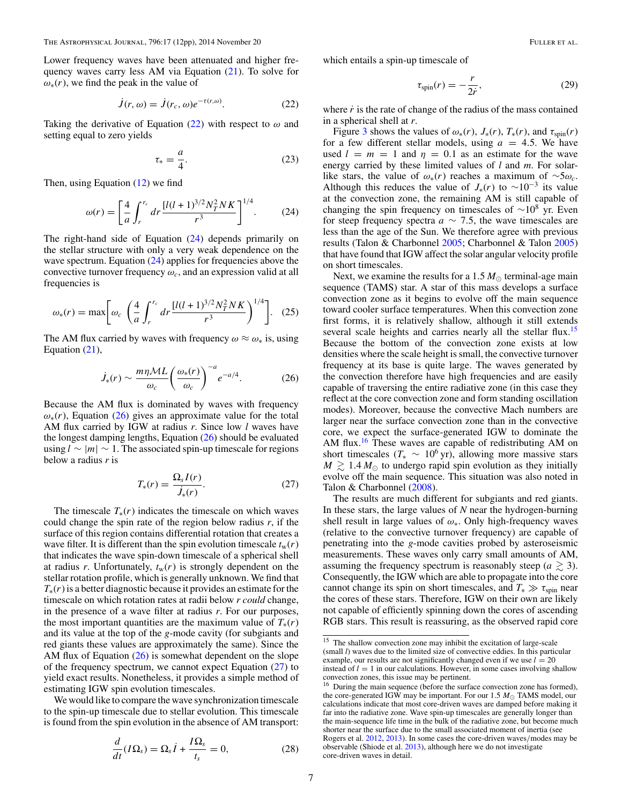<span id="page-6-0"></span>Lower frequency waves have been attenuated and higher frequency waves carry less AM via Equation  $(21)$ . To solve for  $\omega_*(r)$ , we find the peak in the value of

$$
\dot{J}(r,\omega) = \dot{J}(r_c,\omega)e^{-\tau(r,\omega)}.\tag{22}
$$

Taking the derivative of Equation (22) with respect to *ω* and setting equal to zero yields

$$
\tau_* = \frac{a}{4}.\tag{23}
$$

Then, using Equation [\(12\)](#page-3-0) we find

$$
\omega(r) = \left[\frac{4}{a} \int_{r}^{r_c} dr \frac{[l(l+1)^{3/2} N_T^2 N K]}{r^3}\right]^{1/4}.
$$
 (24)

The right-hand side of Equation (24) depends primarily on the stellar structure with only a very weak dependence on the wave spectrum. Equation (24) applies for frequencies above the convective turnover frequency  $\omega_c$ , and an expression valid at all frequencies is

$$
\omega_*(r) = \max \bigg[ \omega_c \, \left( \frac{4}{a} \int_r^{r_c} dr \, \frac{[l(l+1)^{3/2} N_T^2 N K}{r^3} \right)^{1/4} \bigg]. \tag{25}
$$

The AM flux carried by waves with frequency  $\omega \approx \omega_*$  is, using Equation [\(21\)](#page-5-0),

$$
\dot{J}_*(r) \sim \frac{m\eta \mathcal{M}L}{\omega_c} \left(\frac{\omega_*(r)}{\omega_c}\right)^{-a} e^{-a/4}.\tag{26}
$$

Because the AM flux is dominated by waves with frequency  $\omega_*(r)$ , Equation (26) gives an approximate value for the total AM flux carried by IGW at radius *r*. Since low *l* waves have the longest damping lengths, Equation (26) should be evaluated using *l* ∼ |*m*| ∼ 1. The associated spin-up timescale for regions below a radius *r* is

$$
T_*(r) = \frac{\Omega_s I(r)}{\dot{J}_*(r)}.\tag{27}
$$

The timescale  $T_*(r)$  indicates the timescale on which waves could change the spin rate of the region below radius *r*, if the surface of this region contains differential rotation that creates a wave filter. It is different than the spin evolution timescale  $t_w(r)$ that indicates the wave spin-down timescale of a spherical shell at radius *r*. Unfortunately,  $t_w(r)$  is strongly dependent on the stellar rotation profile, which is generally unknown. We find that *T*<sup>∗</sup>(*r*) is a better diagnostic because it provides an estimate for the timescale on which rotation rates at radii below *r could* change, in the presence of a wave filter at radius *r*. For our purposes, the most important quantities are the maximum value of  $T_*(r)$ and its value at the top of the *g*-mode cavity (for subgiants and red giants these values are approximately the same). Since the AM flux of Equation  $(26)$  is somewhat dependent on the slope of the frequency spectrum, we cannot expect Equation (27) to yield exact results. Nonetheless, it provides a simple method of estimating IGW spin evolution timescales.

We would like to compare the wave synchronization timescale to the spin-up timescale due to stellar evolution. This timescale is found from the spin evolution in the absence of AM transport:

$$
\frac{d}{dt}(I\Omega_s) = \Omega_s \dot{I} + \frac{I\Omega_s}{t_s} = 0,\tag{28}
$$

which entails a spin-up timescale of

$$
\tau_{\text{spin}}(r) = -\frac{r}{2\dot{r}},\tag{29}
$$

where  $\dot{r}$  is the rate of change of the radius of the mass contained in a spherical shell at *r*.

Figure [3](#page-7-0) shows the values of  $\omega_*(r)$ ,  $J_*(r)$ ,  $T_*(r)$ , and  $\tau_{spin}(r)$ for a few different stellar models, using  $a = 4.5$ . We have used  $l = m = 1$  and  $\eta = 0.1$  as an estimate for the wave energy carried by these limited values of *l* and *m*. For solarlike stars, the value of  $\omega_*(r)$  reaches a maximum of  $\sim 5\omega_c$ . Although this reduces the value of  $J_*(r)$  to  $\sim 10^{-3}$  its value at the convection zone, the remaining AM is still capable of changing the spin frequency on timescales of  $\sim 10^8$  yr. Even for steep frequency spectra  $a \sim 7.5$ , the wave timescales are less than the age of the Sun. We therefore agree with previous results (Talon & Charbonnel [2005;](#page-11-0) Charbonnel & Talon [2005\)](#page-10-0) that have found that IGW affect the solar angular velocity profile on short timescales.

Next, we examine the results for a 1.5  $M_{\odot}$  terminal-age main sequence (TAMS) star. A star of this mass develops a surface convection zone as it begins to evolve off the main sequence toward cooler surface temperatures. When this convection zone first forms, it is relatively shallow, although it still extends several scale heights and carries nearly all the stellar flux.<sup>15</sup> Because the bottom of the convection zone exists at low densities where the scale height is small, the convective turnover frequency at its base is quite large. The waves generated by the convection therefore have high frequencies and are easily capable of traversing the entire radiative zone (in this case they reflect at the core convection zone and form standing oscillation modes). Moreover, because the convective Mach numbers are larger near the surface convection zone than in the convective core, we expect the surface-generated IGW to dominate the AM flux.<sup>16</sup> These waves are capable of redistributing AM on short timescales ( $T_* \sim 10^6$  yr), allowing more massive stars  $M \gtrsim 1.4 M_{\odot}$  to undergo rapid spin evolution as they initially evolve off the main sequence. This situation was also noted in Talon & Charbonnel [\(2008\)](#page-11-0).

The results are much different for subgiants and red giants. In these stars, the large values of *N* near the hydrogen-burning shell result in large values of *ω*∗. Only high-frequency waves (relative to the convective turnover frequency) are capable of penetrating into the *g*-mode cavities probed by asteroseismic measurements. These waves only carry small amounts of AM, assuming the frequency spectrum is reasonably steep ( $a \ge 3$ ). Consequently, the IGW which are able to propagate into the core cannot change its spin on short timescales, and  $T_* \gg \tau_{spin}$  near the cores of these stars. Therefore, IGW on their own are likely not capable of efficiently spinning down the cores of ascending RGB stars. This result is reassuring, as the observed rapid core

<sup>&</sup>lt;sup>15</sup> The shallow convection zone may inhibit the excitation of large-scale (small *l*) waves due to the limited size of convective eddies. In this particular example, our results are not significantly changed even if we use  $l = 20$ instead of  $l = 1$  in our calculations. However, in some cases involving shallow convection zones, this issue may be pertinent.

<sup>&</sup>lt;sup>16</sup> During the main sequence (before the surface convection zone has formed), the core-generated IGW may be important. For our  $1.5 M_{\odot}$  TAMS model, our calculations indicate that most core-driven waves are damped before making it far into the radiative zone. Wave spin-up timescales are generally longer than the main-sequence life time in the bulk of the radiative zone, but become much shorter near the surface due to the small associated moment of inertia (see Rogers et al. [2012,](#page-11-0) [2013\)](#page-11-0). In some cases the core-driven waves*/*modes may be observable (Shiode et al. [2013\)](#page-11-0), although here we do not investigate core-driven waves in detail.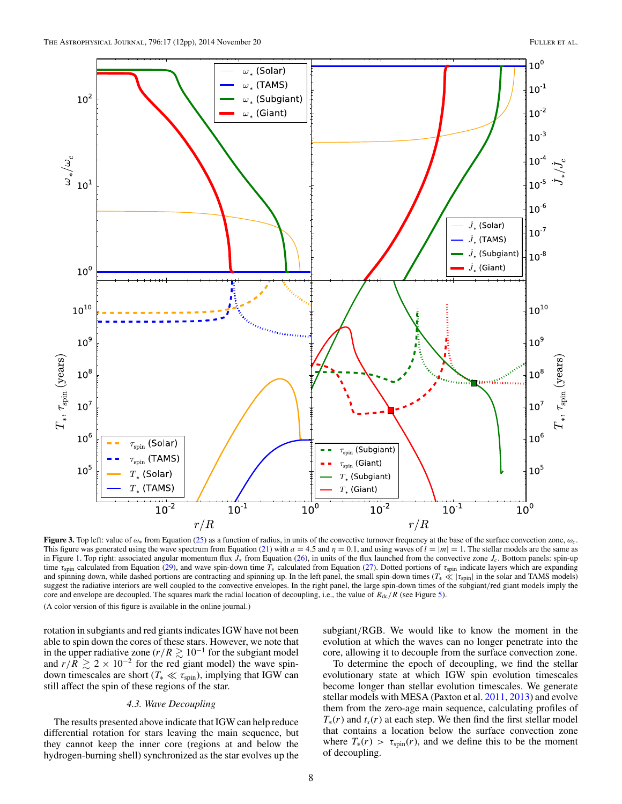<span id="page-7-0"></span>

**Figure 3.** Top left: value of *ω*<sup>∗</sup> from Equation [\(25\)](#page-6-0) as a function of radius, in units of the convective turnover frequency at the base of the surface convection zone, *ωc*. This figure was generated using the wave spectrum from Equation [\(21\)](#page-5-0) with  $a = 4.5$  and  $\eta = 0.1$ , and using waves of  $l = |m| = 1$ . The stellar models are the same as in Figure [1.](#page-2-0) Top right: associated angular momentum flux *J*<sup>∗</sup> from Equation [\(26\)](#page-6-0), in units of the flux launched from the convective zone *J*<sub>*c*</sub>. Bottom panels: spin-up time  $\tau_{spin}$  calculated from Equation [\(29\)](#page-6-0), and wave spin-down time  $\tau_*$  calculated from Equation [\(27\)](#page-6-0). Dotted portions of  $\tau_{spin}$  indicate layers which are expanding and spinning down, while dashed portions are contracting and spinning up. In the left panel, the small spin-down times  $(T_* \ll | \tau_{\text{spin}}|)$  in the solar and TAMS models) suggest the radiative interiors are well coupled to the convective envelopes. In the right panel, the large spin-down times of the subgiant*/*red giant models imply the core and envelope are decoupled. The squares mark the radial location of decoupling, i.e., the value of *R*dc*/R* (see Figure [5\)](#page-9-0). (A color version of this figure is available in the online journal.)

rotation in subgiants and red giants indicates IGW have not been able to spin down the cores of these stars. However, we note that in the upper radiative zone ( $r/R \gtrsim 10^{-1}$  for the subgiant model and  $r/R \gtrsim 2 \times 10^{-2}$  for the red giant model) the wave spindown timescales are short ( $T_* \ll \tau_{spin}$ ), implying that IGW can still affect the spin of these regions of the star.

## *4.3. Wave Decoupling*

The results presented above indicate that IGW can help reduce differential rotation for stars leaving the main sequence, but they cannot keep the inner core (regions at and below the hydrogen-burning shell) synchronized as the star evolves up the

subgiant*/*RGB. We would like to know the moment in the evolution at which the waves can no longer penetrate into the core, allowing it to decouple from the surface convection zone.

To determine the epoch of decoupling, we find the stellar evolutionary state at which IGW spin evolution timescales become longer than stellar evolution timescales. We generate stellar models with MESA (Paxton et al. [2011,](#page-11-0) [2013\)](#page-11-0) and evolve them from the zero-age main sequence, calculating profiles of  $T_*(r)$  and  $t_*(r)$  at each step. We then find the first stellar model that contains a location below the surface convection zone where  $T_*(r) > \tau_{spin}(r)$ , and we define this to be the moment of decoupling.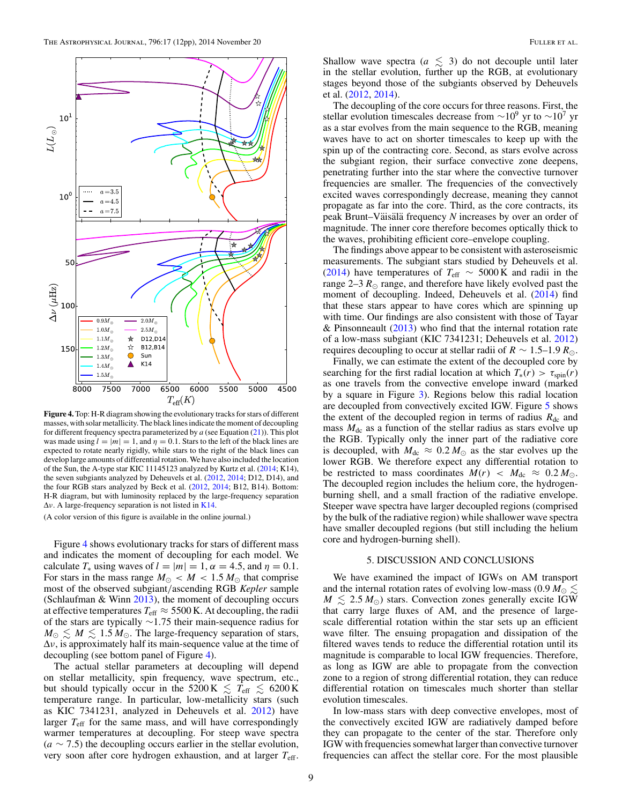<span id="page-8-0"></span>

**Figure 4.** Top: H-R diagram showing the evolutionary tracks for stars of different masses, with solar metallicity. The black lines indicate the moment of decoupling for different frequency spectra parameterized by *a* (see Equation [\(21\)](#page-5-0)). This plot was made using  $l = |m| = 1$ , and  $\eta = 0.1$ . Stars to the left of the black lines are expected to rotate nearly rigidly, while stars to the right of the black lines can develop large amounts of differential rotation. We have also included the location of the Sun, the A-type star KIC 11145123 analyzed by Kurtz et al. [\(2014;](#page-11-0) K14), the seven subgiants analyzed by Deheuvels et al. [\(2012,](#page-10-0) [2014;](#page-10-0) D12, D14), and the four RGB stars analyzed by Beck et al. [\(2012,](#page-10-0) [2014;](#page-10-0) B12, B14). Bottom: H-R diagram, but with luminosity replaced by the large-frequency separation Δ*ν*. A large-frequency separation is not listed in [K14.](#page-11-0)

Figure 4 shows evolutionary tracks for stars of different mass and indicates the moment of decoupling for each model. We calculate  $T_*$  using waves of  $l = |m| = 1$ ,  $\alpha = 4.5$ , and  $\eta = 0.1$ . For stars in the mass range  $M_{\odot} < M < 1.5 M_{\odot}$  that comprise most of the observed subgiant*/*ascending RGB *Kepler* sample (Schlaufman & Winn [2013\)](#page-11-0), the moment of decoupling occurs at effective temperatures  $T_{\text{eff}} \approx 5500 \text{ K}$ . At decoupling, the radii of the stars are typically ∼1*.*75 their main-sequence radius for  $M_{\odot} \lesssim M \lesssim 1.5 M_{\odot}$ . The large-frequency separation of stars, Δ*ν*, is approximately half its main-sequence value at the time of decoupling (see bottom panel of Figure 4).

The actual stellar parameters at decoupling will depend on stellar metallicity, spin frequency, wave spectrum, etc., but should typically occur in the 5200 K  $\lesssim T_{\rm eff} \lesssim 6200 \,\rm K$ temperature range. In particular, low-metallicity stars (such as KIC 7341231, analyzed in Deheuvels et al. [2012\)](#page-10-0) have larger  $T_{\text{eff}}$  for the same mass, and will have correspondingly warmer temperatures at decoupling. For steep wave spectra (*a* ∼ 7*.*5) the decoupling occurs earlier in the stellar evolution, very soon after core hydrogen exhaustion, and at larger *T*eff. Shallow wave spectra ( $a \leq 3$ ) do not decouple until later in the stellar evolution, further up the RGB, at evolutionary stages beyond those of the subgiants observed by Deheuvels et al. [\(2012,](#page-10-0) [2014\)](#page-10-0).

The decoupling of the core occurs for three reasons. First, the stellar evolution timescales decrease from  $\sim$ 10<sup>9</sup> yr to  $\sim$ 10<sup>7</sup> yr as a star evolves from the main sequence to the RGB, meaning waves have to act on shorter timescales to keep up with the spin up of the contracting core. Second, as stars evolve across the subgiant region, their surface convective zone deepens, penetrating further into the star where the convective turnover frequencies are smaller. The frequencies of the convectively excited waves correspondingly decrease, meaning they cannot propagate as far into the core. Third, as the core contracts, its peak Brunt–Väisälä frequency N increases by over an order of magnitude. The inner core therefore becomes optically thick to the waves, prohibiting efficient core–envelope coupling.

The findings above appear to be consistent with asteroseismic measurements. The subgiant stars studied by Deheuvels et al. [\(2014\)](#page-10-0) have temperatures of  $T_{\text{eff}} \sim 5000 \text{ K}$  and radii in the range  $2-3 R_{\odot}$  range, and therefore have likely evolved past the moment of decoupling. Indeed, Deheuvels et al. [\(2014\)](#page-10-0) find that these stars appear to have cores which are spinning up with time. Our findings are also consistent with those of Tayar & Pinsonneault  $(2013)$  who find that the internal rotation rate of a low-mass subgiant (KIC 7341231; Deheuvels et al. [2012\)](#page-10-0) requires decoupling to occur at stellar radii of  $R \sim 1.5-1.9 R_{\odot}$ .

Finally, we can estimate the extent of the decoupled core by searching for the first radial location at which  $T_*(r) > \tau_{spin}(r)$ as one travels from the convective envelope inward (marked by a square in Figure [3\)](#page-7-0). Regions below this radial location are decoupled from convectively excited IGW. Figure [5](#page-9-0) shows the extent of the decoupled region in terms of radius  $R_{dc}$  and mass  $M_{\text{dc}}$  as a function of the stellar radius as stars evolve up the RGB. Typically only the inner part of the radiative core is decoupled, with  $M_{dc} \approx 0.2 M_{\odot}$  as the star evolves up the lower RGB. We therefore expect any differential rotation to be restricted to mass coordinates  $M(r) < M_{\text{dc}} \approx 0.2 M_{\odot}$ . The decoupled region includes the helium core, the hydrogenburning shell, and a small fraction of the radiative envelope. Steeper wave spectra have larger decoupled regions (comprised by the bulk of the radiative region) while shallower wave spectra have smaller decoupled regions (but still including the helium core and hydrogen-burning shell).

### 5. DISCUSSION AND CONCLUSIONS

We have examined the impact of IGWs on AM transport and the internal rotation rates of evolving low-mass  $(0.9 M_{\odot} \leq$  $M \leq 2.5 M_{\odot}$ ) stars. Convection zones generally excite IGW that carry large fluxes of AM, and the presence of largescale differential rotation within the star sets up an efficient wave filter. The ensuing propagation and dissipation of the filtered waves tends to reduce the differential rotation until its magnitude is comparable to local IGW frequencies. Therefore, as long as IGW are able to propagate from the convection zone to a region of strong differential rotation, they can reduce differential rotation on timescales much shorter than stellar evolution timescales.

In low-mass stars with deep convective envelopes, most of the convectively excited IGW are radiatively damped before they can propagate to the center of the star. Therefore only IGW with frequencies somewhat larger than convective turnover frequencies can affect the stellar core. For the most plausible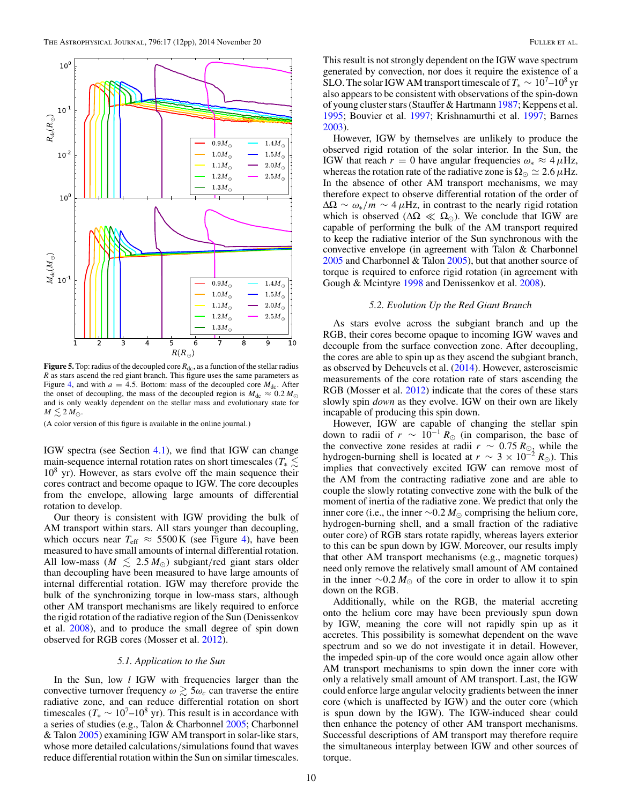<span id="page-9-0"></span>

**Figure 5.** Top: radius of the decoupled core  $R_{dc}$ , as a function of the stellar radius *R* as stars ascend the red giant branch. This figure uses the same parameters as Figure [4,](#page-8-0) and with  $a = 4.5$ . Bottom: mass of the decoupled core  $M_{\text{dc}}$ . After the onset of decoupling, the mass of the decoupled region is  $M_{\text{dc}} \approx 0.2 M_{\odot}$ and is only weakly dependent on the stellar mass and evolutionary state for  $M \lesssim 2 M_{\odot}$ .

IGW spectra (see Section [4.1\)](#page-5-0), we find that IGW can change main-sequence internal rotation rates on short timescales ( $T_* \lesssim$  $10<sup>8</sup>$  yr). However, as stars evolve off the main sequence their cores contract and become opaque to IGW. The core decouples from the envelope, allowing large amounts of differential rotation to develop.

Our theory is consistent with IGW providing the bulk of AM transport within stars. All stars younger than decoupling, which occurs near  $T_{\text{eff}} \approx 5500 \text{ K}$  (see Figure [4\)](#page-8-0), have been measured to have small amounts of internal differential rotation. All low-mass ( $M \le 2.5 M_{\odot}$ ) subgiant/red giant stars older than decoupling have been measured to have large amounts of internal differential rotation. IGW may therefore provide the bulk of the synchronizing torque in low-mass stars, although other AM transport mechanisms are likely required to enforce the rigid rotation of the radiative region of the Sun (Denissenkov et al. [2008\)](#page-10-0), and to produce the small degree of spin down observed for RGB cores (Mosser et al. [2012\)](#page-11-0).

#### *5.1. Application to the Sun*

In the Sun, low *l* IGW with frequencies larger than the convective turnover frequency  $\omega \gtrsim 5\omega_c$  can traverse the entire radiative zone, and can reduce differential rotation on short timescales ( $T_* \sim 10^7$ – $10^8$  yr). This result is in accordance with a series of studies (e.g., Talon & Charbonnel [2005;](#page-11-0) Charbonnel & Talon [2005\)](#page-10-0) examining IGW AM transport in solar-like stars, whose more detailed calculations*/*simulations found that waves reduce differential rotation within the Sun on similar timescales.

This result is not strongly dependent on the IGW wave spectrum generated by convection, nor does it require the existence of a SLO. The solar IGW AM transport timescale of  $T_* \sim 10^7$ – $10^8$  yr also appears to be consistent with observations of the spin-down of young cluster stars (Stauffer & Hartmann [1987;](#page-11-0) Keppens et al. [1995;](#page-10-0) Bouvier et al. [1997;](#page-10-0) Krishnamurthi et al. [1997;](#page-10-0) Barnes [2003\)](#page-10-0).

However, IGW by themselves are unlikely to produce the observed rigid rotation of the solar interior. In the Sun, the IGW that reach  $r = 0$  have angular frequencies  $\omega_* \approx 4 \mu$ Hz, whereas the rotation rate of the radiative zone is  $\Omega_{\odot} \simeq 2.6 \,\mu\text{Hz}$ . In the absence of other AM transport mechanisms, we may therefore expect to observe differential rotation of the order of  $\Delta\Omega \sim \omega_*/m \sim 4 \mu$ Hz, in contrast to the nearly rigid rotation which is observed ( $\Delta\Omega \ll \Omega_{\odot}$ ). We conclude that IGW are capable of performing the bulk of the AM transport required to keep the radiative interior of the Sun synchronous with the convective envelope (in agreement with Talon & Charbonnel [2005](#page-11-0) and Charbonnel & Talon [2005\)](#page-10-0), but that another source of torque is required to enforce rigid rotation (in agreement with Gough & Mcintyre [1998](#page-10-0) and Denissenkov et al. [2008\)](#page-10-0).

#### *5.2. Evolution Up the Red Giant Branch*

As stars evolve across the subgiant branch and up the RGB, their cores become opaque to incoming IGW waves and decouple from the surface convection zone. After decoupling, the cores are able to spin up as they ascend the subgiant branch, as observed by Deheuvels et al. [\(2014\)](#page-10-0). However, asteroseismic measurements of the core rotation rate of stars ascending the RGB (Mosser et al. [2012\)](#page-11-0) indicate that the cores of these stars slowly spin *down* as they evolve. IGW on their own are likely incapable of producing this spin down.

However, IGW are capable of changing the stellar spin down to radii of  $r \sim 10^{-1} R_{\odot}$  (in comparison, the base of the convective zone resides at radii  $r \sim 0.75 R_{\odot}$ , while the hydrogen-burning shell is located at  $r \sim 3 \times 10^{-2} R_{\odot}$ ). This implies that convectively excited IGW can remove most of the AM from the contracting radiative zone and are able to couple the slowly rotating convective zone with the bulk of the moment of inertia of the radiative zone. We predict that only the inner core (i.e., the inner  $\sim$ 0.2 *M*<sub>☉</sub> comprising the helium core, hydrogen-burning shell, and a small fraction of the radiative outer core) of RGB stars rotate rapidly, whereas layers exterior to this can be spun down by IGW. Moreover, our results imply that other AM transport mechanisms (e.g., magnetic torques) need only remove the relatively small amount of AM contained in the inner  $\sim$ 0.2  $M_{\odot}$  of the core in order to allow it to spin down on the RGB.

Additionally, while on the RGB, the material accreting onto the helium core may have been previously spun down by IGW, meaning the core will not rapidly spin up as it accretes. This possibility is somewhat dependent on the wave spectrum and so we do not investigate it in detail. However, the impeded spin-up of the core would once again allow other AM transport mechanisms to spin down the inner core with only a relatively small amount of AM transport. Last, the IGW could enforce large angular velocity gradients between the inner core (which is unaffected by IGW) and the outer core (which is spun down by the IGW). The IGW-induced shear could then enhance the potency of other AM transport mechanisms. Successful descriptions of AM transport may therefore require the simultaneous interplay between IGW and other sources of torque.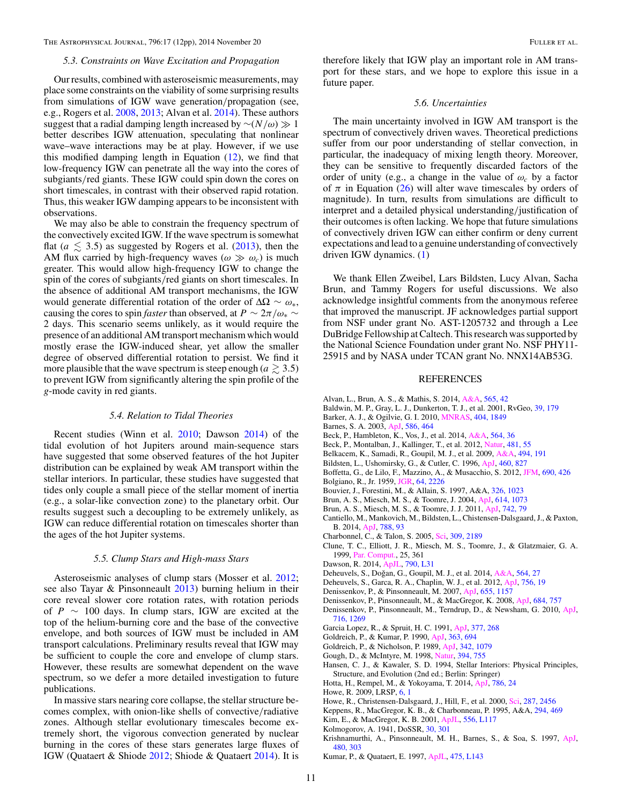<span id="page-10-0"></span>The Astrophysical Journal, 796:17 (12pp), 2014 November 20 Fuller et al.

#### *5.3. Constraints on Wave Excitation and Propagation*

Our results, combined with asteroseismic measurements, may place some constraints on the viability of some surprising results from simulations of IGW wave generation*/*propagation (see, e.g., Rogers et al. [2008,](#page-11-0) [2013;](#page-11-0) Alvan et al. 2014). These authors suggest that a radial damping length increased by ∼(*N/ω*) 1 better describes IGW attenuation, speculating that nonlinear wave–wave interactions may be at play. However, if we use this modified damping length in Equation  $(12)$ , we find that low-frequency IGW can penetrate all the way into the cores of subgiants*/*red giants. These IGW could spin down the cores on short timescales, in contrast with their observed rapid rotation. Thus, this weaker IGW damping appears to be inconsistent with observations.

We may also be able to constrain the frequency spectrum of the convectively excited IGW. If the wave spectrum is somewhat flat ( $a \leq 3.5$ ) as suggested by Rogers et al. [\(2013\)](#page-11-0), then the AM flux carried by high-frequency waves  $(\omega \gg \omega_c)$  is much greater. This would allow high-frequency IGW to change the spin of the cores of subgiants*/*red giants on short timescales. In the absence of additional AM transport mechanisms, the IGW would generate differential rotation of the order of  $\Delta\Omega \sim \omega_*$ , causing the cores to spin *faster* than observed, at  $P \sim 2\pi/\omega_* \sim$ 2 days. This scenario seems unlikely, as it would require the presence of an additional AM transport mechanism which would mostly erase the IGW-induced shear, yet allow the smaller degree of observed differential rotation to persist. We find it more plausible that the wave spectrum is steep enough ( $a \gtrsim 3.5$ ) to prevent IGW from significantly altering the spin profile of the *g*-mode cavity in red giants.

### *5.4. Relation to Tidal Theories*

Recent studies (Winn et al. [2010;](#page-11-0) Dawson 2014) of the tidal evolution of hot Jupiters around main-sequence stars have suggested that some observed features of the hot Jupiter distribution can be explained by weak AM transport within the stellar interiors. In particular, these studies have suggested that tides only couple a small piece of the stellar moment of inertia (e.g., a solar-like convection zone) to the planetary orbit. Our results suggest such a decoupling to be extremely unlikely, as IGW can reduce differential rotation on timescales shorter than the ages of the hot Jupiter systems.

### *5.5. Clump Stars and High-mass Stars*

Asteroseismic analyses of clump stars (Mosser et al. [2012;](#page-11-0) see also Tayar & Pinsonneault [2013\)](#page-11-0) burning helium in their core reveal slower core rotation rates, with rotation periods of *P* ∼ 100 days. In clump stars, IGW are excited at the top of the helium-burning core and the base of the convective envelope, and both sources of IGW must be included in AM transport calculations. Preliminary results reveal that IGW may be sufficient to couple the core and envelope of clump stars. However, these results are somewhat dependent on the wave spectrum, so we defer a more detailed investigation to future publications.

In massive stars nearing core collapse, the stellar structure becomes complex, with onion-like shells of convective*/*radiative zones. Although stellar evolutionary timescales become extremely short, the vigorous convection generated by nuclear burning in the cores of these stars generates large fluxes of IGW (Quataert & Shiode [2012;](#page-11-0) Shiode & Quataert [2014\)](#page-11-0). It is therefore likely that IGW play an important role in AM transport for these stars, and we hope to explore this issue in a future paper.

#### *5.6. Uncertainties*

The main uncertainty involved in IGW AM transport is the spectrum of convectively driven waves. Theoretical predictions suffer from our poor understanding of stellar convection, in particular, the inadequacy of mixing length theory. Moreover, they can be sensitive to frequently discarded factors of the order of unity (e.g., a change in the value of  $\omega_c$  by a factor of  $\pi$  in Equation [\(26\)](#page-6-0) will alter wave timescales by orders of magnitude). In turn, results from simulations are difficult to interpret and a detailed physical understanding*/*justification of their outcomes is often lacking. We hope that future simulations of convectively driven IGW can either confirm or deny current expectations and lead to a genuine understanding of convectively driven IGW dynamics. (1)

We thank Ellen Zweibel, Lars Bildsten, Lucy Alvan, Sacha Brun, and Tammy Rogers for useful discussions. We also acknowledge insightful comments from the anonymous referee that improved the manuscript. JF acknowledges partial support from NSF under grant No. AST-1205732 and through a Lee DuBridge Fellowship at Caltech. This research was supported by the National Science Foundation under grant No. NSF PHY11- 25915 and by NASA under TCAN grant No. NNX14AB53G.

### REFERENCES

- Alvan, L., Brun, A. S., & Mathis, S. 2014, [A&A,](http://dx.doi.org/10.1051/0004-6361/201323253) [565, 42](http://adsabs.harvard.edu/abs/2014A&A...565A..42A)
- Baldwin, M. P., Gray, L. J., Dunkerton, T. J., et al. 2001, RvGeo, [39, 179](http://adsabs.harvard.edu/abs/2001RvGeo..39..179B)
- Barker, A. J., & Ogilvie, G. I. 2010, [MNRAS,](http://dx.doi.org/10.1111/j.1365-2966.2010.16400.x) [404, 1849](http://adsabs.harvard.edu/abs/2010MNRAS.404.1849B)
- Barnes, S. A. 2003, [ApJ,](http://dx.doi.org/10.1086/367639) [586, 464](http://adsabs.harvard.edu/abs/2003ApJ...586..464B)
- Beck, P., Hambleton, K., Vos, J., et al. 2014, [A&A,](http://dx.doi.org/10.1051/0004-6361/201322477) [564, 36](http://adsabs.harvard.edu/abs/2014A&A...564A..36B)
- Beck, P., Montalban, J., Kallinger, T., et al. 2012, [Natur,](http://dx.doi.org/10.1038/nature10612) [481, 55](http://adsabs.harvard.edu/abs/2012Natur.481...55B)
- Belkacem, K., Samadi, R., Goupil, M. J., et al. 2009, [A&A,](http://dx.doi.org/10.1051/0004-6361:200810827) [494, 191](http://adsabs.harvard.edu/abs/2009A&A...494..191B)
- Bildsten, L., Ushomirsky, G., & Cutler, C. 1996, [ApJ,](http://dx.doi.org/10.1086/177012) [460, 827](http://adsabs.harvard.edu/abs/1996ApJ...460..827B)
- Boffetta, G., de Lilo, F., Mazzino, A., & Musacchio, S. 2012, [JFM,](http://dx.doi.org/10.1017/jfm.2011.446) [690, 426](http://adsabs.harvard.edu/abs/2012JFM...690..426B)
- Bolgiano, R., Jr. 1959, [JGR,](http://dx.doi.org/10.1029/JZ064i012p02226) [64, 2226](http://adsabs.harvard.edu/abs/1959JGR....64.2226B)
- Bouvier, J., Forestini, M., & Allain, S. 1997, A&A, [326, 1023](http://adsabs.harvard.edu/abs/1997A&A...326.1023B)
- Brun, A. S., Miesch, M. S., & Toomre, J. 2004, [ApJ,](http://dx.doi.org/10.1086/423835) [614, 1073](http://adsabs.harvard.edu/abs/2004ApJ...614.1073B)
- Brun, A. S., Miesch, M. S., & Toomre, J. J. 2011, [ApJ,](http://dx.doi.org/10.1088/0004-637X/742/2/79) [742, 79](http://adsabs.harvard.edu/abs/2011ApJ...742...79B)
- Cantiello, M., Mankovich, M., Bildsten, L., Chistensen-Dalsgaard, J., & Paxton,
- B. 2014, [ApJ,](http://dx.doi.org/10.1088/0004-637X/788/1/93) [788, 93](http://adsabs.harvard.edu/abs/2014ApJ...788...93C)
- Charbonnel, C., & Talon, S. 2005, [Sci,](http://dx.doi.org/10.1126/science.1116849) [309, 2189](http://adsabs.harvard.edu/abs/2005Sci...309.2189C)
- Clune, T. C., Elliott, J. R., Miesch, M. S., Toomre, J., & Glatzmaier, G. A. 1999, [Par. Comput.,](http://dx.doi.org/10.1016/S0167-8191(99)00009-5) 25, 361
- Dawson, R. 2014, [ApJL,](http://dx.doi.org/10.1088/2041-8205/790/2/L31) [790, L31](http://adsabs.harvard.edu/abs/2014ApJ...790L..31D)
- Deheuvels, S., Doğan, G., Goupil, M. J., et al. 2014, [A&A,](http://dx.doi.org/10.1051/0004-6361/201322779) [564, 27](http://adsabs.harvard.edu/abs/2014A&A...564A..27D)
- Deheuvels, S., Garca, R. A., Chaplin, W. J., et al. 2012, [ApJ,](http://dx.doi.org/10.1088/0004-637X/756/1/19) [756, 19](http://adsabs.harvard.edu/abs/2012ApJ...756...19D)
- Denissenkov, P., & Pinsonneault, M. 2007, [ApJ,](http://dx.doi.org/10.1086/510345) [655, 1157](http://adsabs.harvard.edu/abs/2007ApJ...655.1157D)
- Denissenkov, P., Pinsonneault, M., & MacGregor, K. 2008, [ApJ,](http://dx.doi.org/10.1086/589502) [684, 757](http://adsabs.harvard.edu/abs/2008ApJ...684..757D)
- Denissenkov, P., Pinsonneault, M., Terndrup, D., & Newsham, G. 2010, [ApJ,](http://dx.doi.org/10.1088/0004-637X/716/2/1269) [716, 1269](http://adsabs.harvard.edu/abs/2010ApJ...716.1269D)
- Garcia Lopez, R., & Spruit, H. C. 1991, [ApJ,](http://dx.doi.org/10.1086/170356) [377, 268](http://adsabs.harvard.edu/abs/1991ApJ...377..268G)
- Goldreich, P., & Kumar, P. 1990, [ApJ,](http://dx.doi.org/10.1086/169376) [363, 694](http://adsabs.harvard.edu/abs/1990ApJ...363..694G)
- Goldreich, P., & Nicholson, P. 1989, [ApJ,](http://dx.doi.org/10.1086/167665) [342, 1079](http://adsabs.harvard.edu/abs/1989ApJ...342.1079G)
- Gough, D., & McIntyre, M. 1998, [Natur,](http://dx.doi.org/10.1038/29472) [394, 755](http://adsabs.harvard.edu/abs/1998Natur.394..755G)
- Hansen, C. J., & Kawaler, S. D. 1994, Stellar Interiors: Physical Principles, Structure, and Evolution (2nd ed.; Berlin: Springer)
- Hotta, H., Rempel, M., & Yokoyama, T. 2014, [ApJ,](http://dx.doi.org/10.1088/0004-637X/786/1/24) [786, 24](http://adsabs.harvard.edu/abs/2014ApJ...786...24H)
- Howe, R. 2009, LRSP, [6, 1](http://adsabs.harvard.edu/abs/2009LRSP....6....1H)
- Howe, R., Christensen-Dalsgaard, J., Hill, F., et al. 2000, [Sci,](http://dx.doi.org/10.1126/science.287.5462.2456) [287, 2456](http://adsabs.harvard.edu/abs/2000Sci...287.2456H)
- Keppens, R., MacGregor, K. B., & Charbonneau, P. 1995, A&A, [294, 469](http://adsabs.harvard.edu/abs/1995A&A...294..469K)
- Kim, E., & MacGregor, K. B. 2001, [ApJL,](http://dx.doi.org/10.1086/322973) [556, L117](http://adsabs.harvard.edu/abs/2001ApJ...556L.117K)
- Kolmogorov, A. 1941, DoSSR, [30, 301](http://adsabs.harvard.edu/abs/1941DoSSR..30..301K)
- Krishnamurthi, A., Pinsonneault, M. H., Barnes, S., & Soa, S. 1997, [ApJ,](http://dx.doi.org/10.1086/303958) [480, 303](http://adsabs.harvard.edu/abs/1997ApJ...480..303K)
- Kumar, P., & Quataert, E. 1997, [ApJL,](http://dx.doi.org/10.1086/310477) [475, L143](http://adsabs.harvard.edu/abs/1997ApJ...475L.143K)